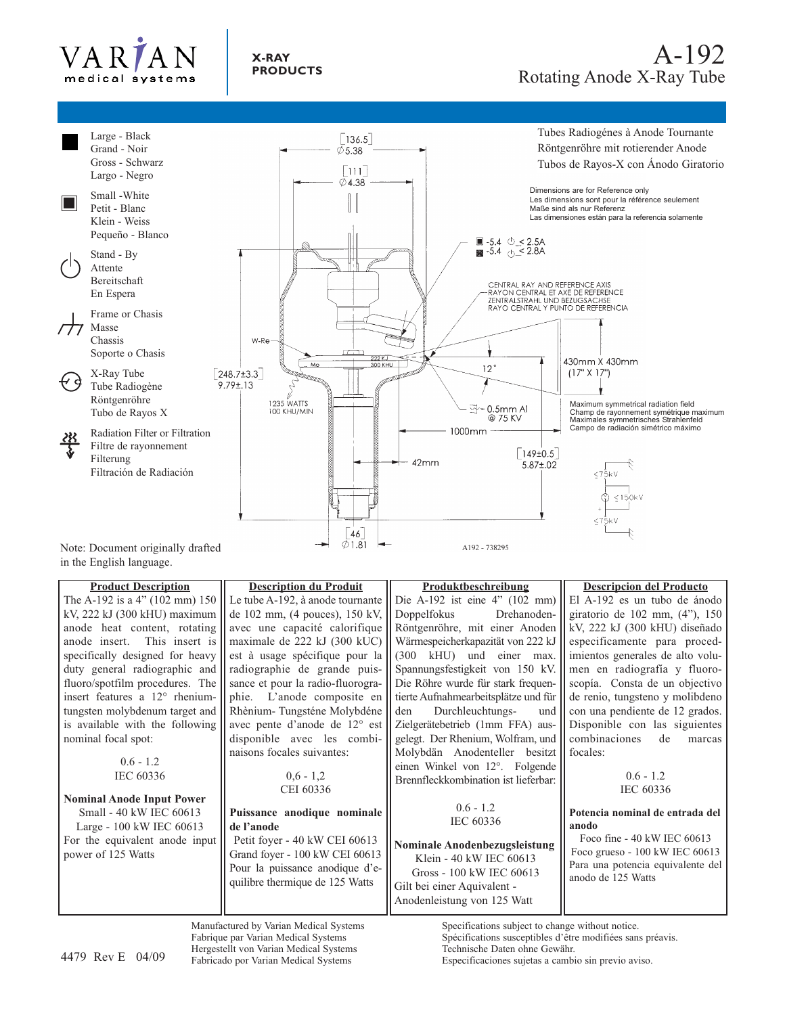



in the English language.

**Product Description** The A-192 is a 4" (102 mm) 150 kV, 222 kJ (300 kHU) maximum anode heat content, rotating anode insert. This insert is specifically designed for heavy duty general radiographic and fluoro/spotfilm procedures. The insert features a 12° rheniumtungsten molybdenum target and is available with the following nominal focal spot:

### $0.6 - 1.2$ IEC 60336

#### **Nominal Anode Input Power** Small - 40 kW IEC 60613 Large - 100 kW IEC 60613 For the equivalent anode input power of 125 Watts

**Description du Produit** Le tube A-192, à anode tournante de 102 mm, (4 pouces), 150 kV, avec une capacité calorifique maximale de 222 kJ (300 kUC) est à usage spécifique pour la radiographie de grande puissance et pour la radio-fluorographie. L'anode composite en Rhènium- Tungsténe Molybdéne avec pente d'anode de 12° est disponible avec les combinaisons focales suivantes:

> $0.6 - 1.2$ CEI 60336

### **Puissance anodique nominale de l'anode**

Petit foyer - 40 kW CEI 60613 Grand foyer - 100 kW CEI 60613 Pour la puissance anodique d'equilibre thermique de 125 Watts

**Produktbeschreibung** Die A-192 ist eine 4" (102 mm) Doppelfokus Drehanoden-Röntgenröhre, mit einer Anoden Wärmespeicherkapazität von 222 kJ (300 kHU) und einer max. Spannungsfestigkeit von 150 kV. Die Röhre wurde für stark frequentierte Aufnahmearbeitsplätze und für den Durchleuchtungs- und Zielgerätebetrieb (1mm FFA) ausgelegt. Der Rhenium, Wolfram, und Molybdän Anodenteller besitzt einen Winkel von 12°. Folgende Brennfleckkombination ist lieferbar:

> $0.6 - 1.2$ IEC 60336

**Nominale Anodenbezugsleistung** Klein - 40 kW IEC 60613 Gross - 100 kW IEC 60613 Gilt bei einer Aquivalent - Anodenleistung von 125 Watt

> Specifications subject to change without notice. Spécifications susceptibles d'être modifiées sans préavis.

**Descripcion del Producto** El A-192 es un tubo de ánodo giratorio de 102 mm, (4"), 150 kV, 222 kJ (300 kHU) diseñado especificamente para procedimientos generales de alto volumen en radiografía y fluoroscopía. Consta de un objectivo de renio, tungsteno y molibdeno con una pendiente de 12 grados. Disponible con las siguientes combinaciones de marcas focales:

> $0.6 - 1.2$ IEC 60336

#### **Potencia nominal de entrada del anodo**

Foco fine - 40 kW IEC 60613 Foco grueso - 100 kW IEC 60613 Para una potencia equivalente del anodo de 125 Watts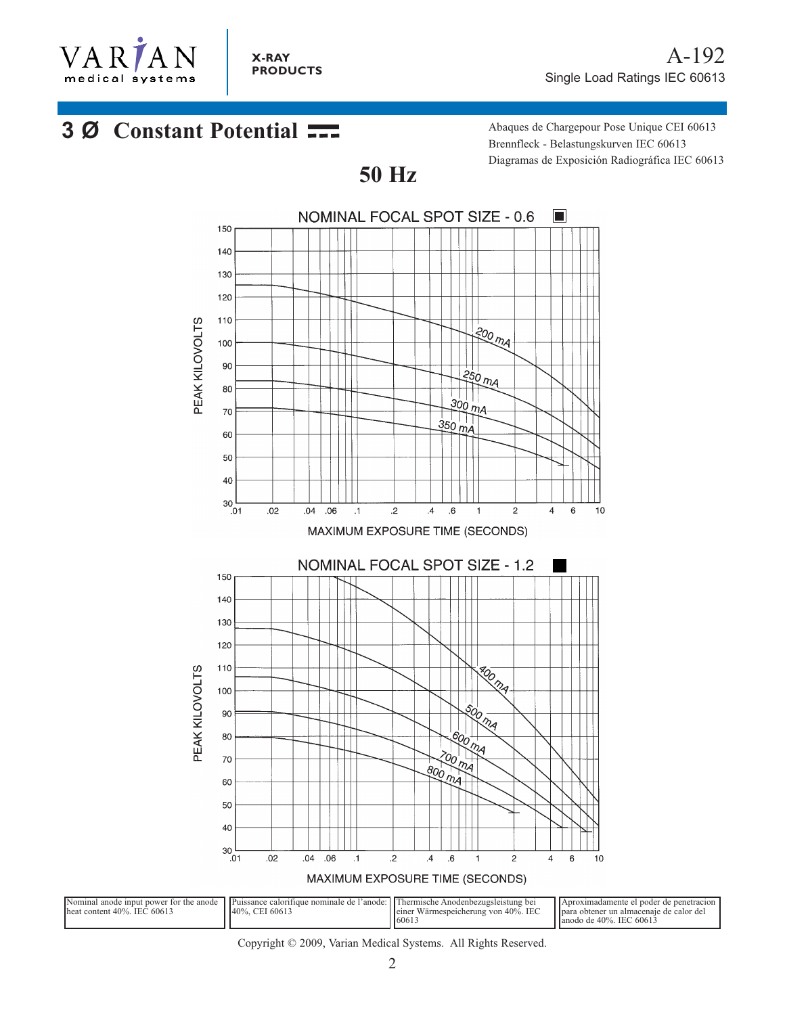

# **3 Ø Constant Potential ---** Abaques de Chargepour Pose Unique CEI 60613

Brennfleck - Belastungskurven IEC 60613 Diagramas de Exposición Radiográfica IEC 60613



**50 Hz**

Copyright © 2009, Varian Medical Systems. All Rights Reserved.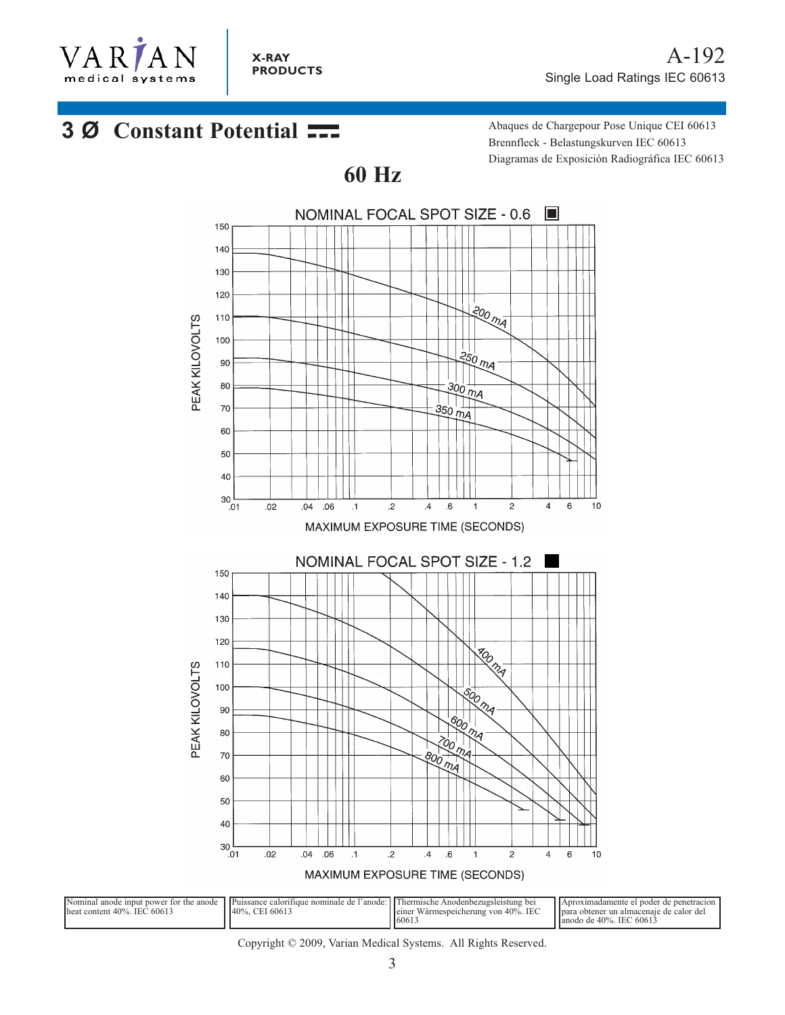

# **3 Ø Constant Potential Abaques de Chargepour Pose Unique CEI 60613**

Brennfleck - Belastungskurven IEC 60613 Diagramas de Exposición Radiográfica IEC 60613



Copyright © 2009, Varian Medical Systems. All Rights Reserved.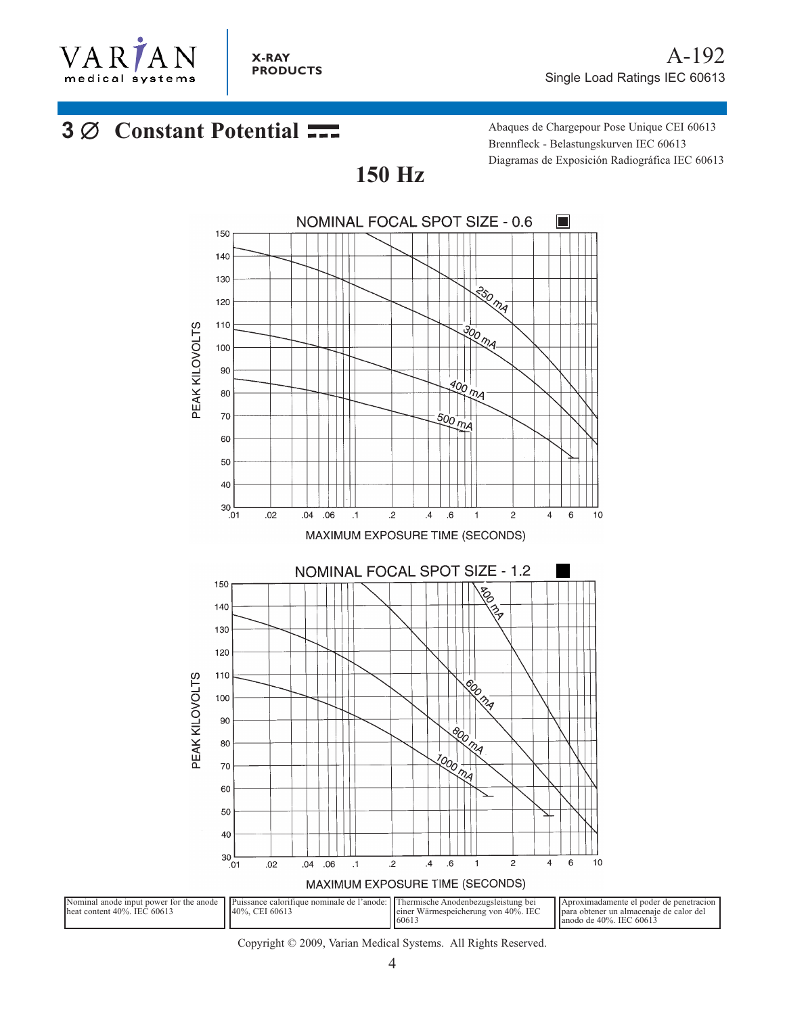

# **3 Ø Constant Potential ---** Abaques de Chargepour Pose Unique CEI 60613

Brennfleck - Belastungskurven IEC 60613 Diagramas de Exposición Radiográfica IEC 60613



**150 Hz**

Copyright © 2009, Varian Medical Systems. All Rights Reserved.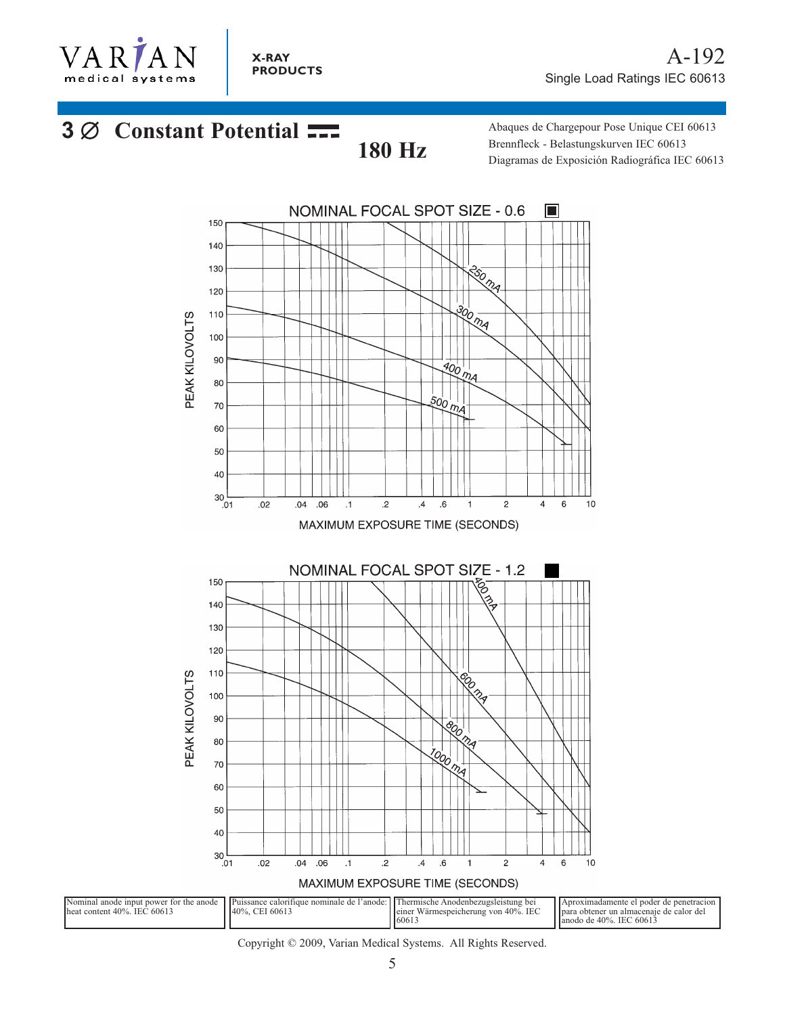

# **3** ∅ **Constant Potential 180 Hz**

Abaques de Chargepour Pose Unique CEI 60613 Brennfleck - Belastungskurven IEC 60613 Diagramas de Exposición Radiográfica IEC 60613

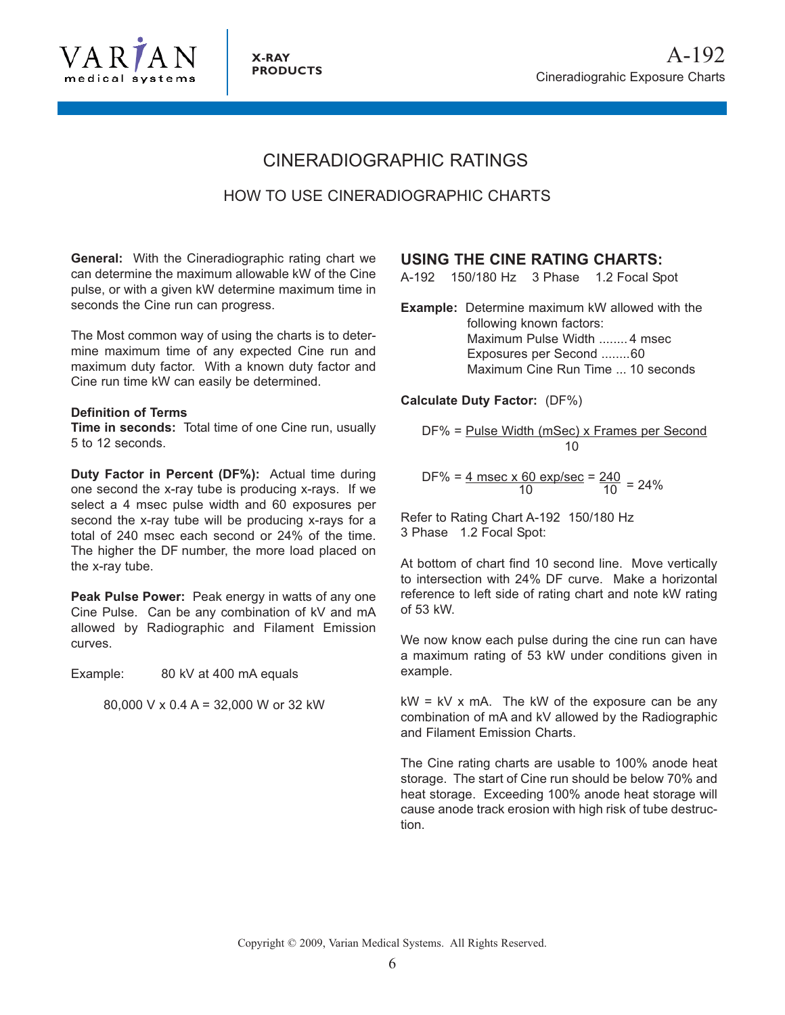

# CINERADIOGRAPHIC RATINGS

## HOW TO USE CINERADIOGRAPHIC CHARTS

**General:** With the Cineradiographic rating chart we can determine the maximum allowable kW of the Cine pulse, or with a given kW determine maximum time in seconds the Cine run can progress.

The Most common way of using the charts is to determine maximum time of any expected Cine run and maximum duty factor. With a known duty factor and Cine run time kW can easily be determined.

### **Definition of Terms**

**Time in seconds:** Total time of one Cine run, usually 5 to 12 seconds.

**Duty Factor in Percent (DF%):** Actual time during one second the x-ray tube is producing x-rays. If we select a 4 msec pulse width and 60 exposures per second the x-ray tube will be producing x-rays for a total of 240 msec each second or 24% of the time. The higher the DF number, the more load placed on the x-ray tube.

**Peak Pulse Power:** Peak energy in watts of any one Cine Pulse. Can be any combination of kV and mA allowed by Radiographic and Filament Emission curves.

Example: 80 kV at 400 mA equals

80,000 V x 0.4 A = 32,000 W or 32 kW

## **USING THE CINE RATING CHARTS:**

A-192 150/180 Hz 3 Phase 1.2 Focal Spot

**Example:** Determine maximum kW allowed with the following known factors: Maximum Pulse Width ........ 4 msec Exposures per Second ........60 Maximum Cine Run Time ... 10 seconds

**Calculate Duty Factor:** (DF%)

$$
DF\% = \underline{Pulse Width (mSec) \times Frames per Second}
$$
  
10

DF% = 
$$
\frac{4 \text{ msec} \times 60 \text{ exp/sec}}{10} = \frac{240}{10} = 24\%
$$

Refer to Rating Chart A-192 150/180 Hz 3 Phase 1.2 Focal Spot:

At bottom of chart find 10 second line. Move vertically to intersection with 24% DF curve. Make a horizontal reference to left side of rating chart and note kW rating of 53 kW.

We now know each pulse during the cine run can have a maximum rating of 53 kW under conditions given in example.

 $kW = kV$  x mA. The kW of the exposure can be any combination of mA and kV allowed by the Radiographic and Filament Emission Charts.

The Cine rating charts are usable to 100% anode heat storage. The start of Cine run should be below 70% and heat storage. Exceeding 100% anode heat storage will cause anode track erosion with high risk of tube destruction.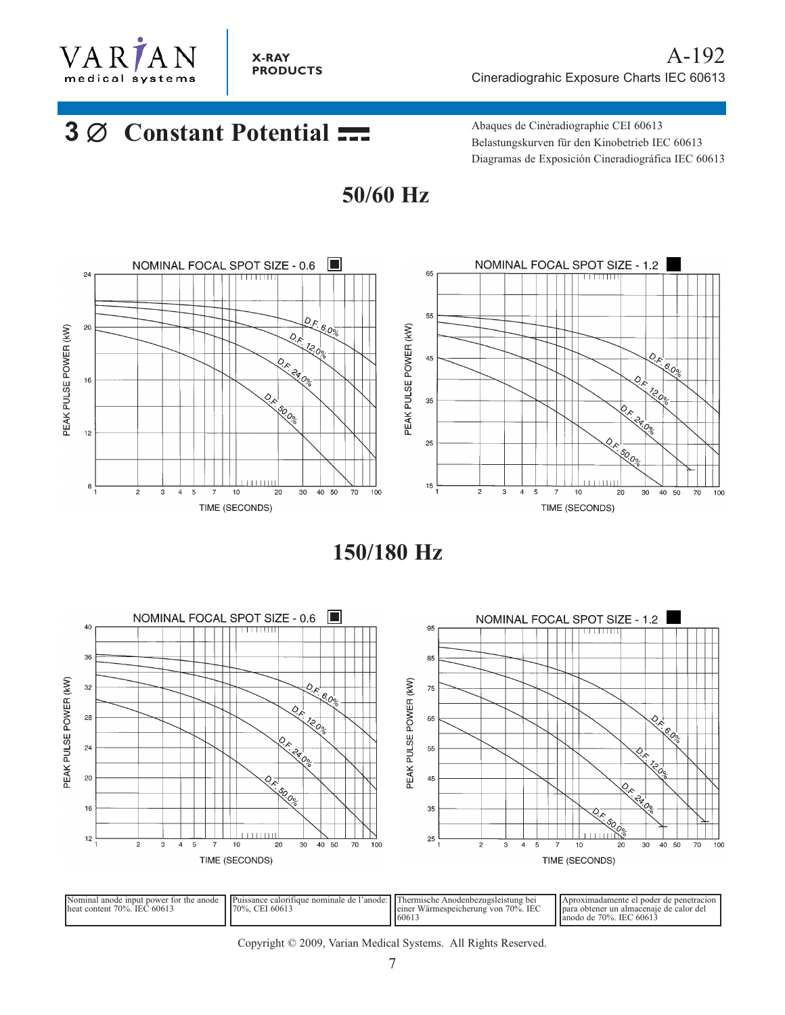

**X-RAY PRODUCTS**

# **3** ∅ **Constant Potential**

Abaques de Cinèradiographie CEI 60613 Belastungskurven für den Kinobetrieb IEC 60613 Diagramas de Exposición Cineradiográfica IEC 60613





**150/180 Hz** 



| Nominal anode input power for the anode<br>heat content 70%.<br>. IEC 6061? | Il Puissance calority<br>de l'anode:<br>nominale<br>rtique<br>$170\%$ .<br>CEI 60613 | hermische<br>Anodenbezugsleistung bei<br>$70\%$ .<br>. IEC<br>Wärmespeicherung von<br>i leiner<br>16061 | el noder de nenetración<br>vproximadamente<br>i Ipara obtener un almacenaie de calor del<br>lanodo de 70%. IEC 60613 |
|-----------------------------------------------------------------------------|--------------------------------------------------------------------------------------|---------------------------------------------------------------------------------------------------------|----------------------------------------------------------------------------------------------------------------------|
|-----------------------------------------------------------------------------|--------------------------------------------------------------------------------------|---------------------------------------------------------------------------------------------------------|----------------------------------------------------------------------------------------------------------------------|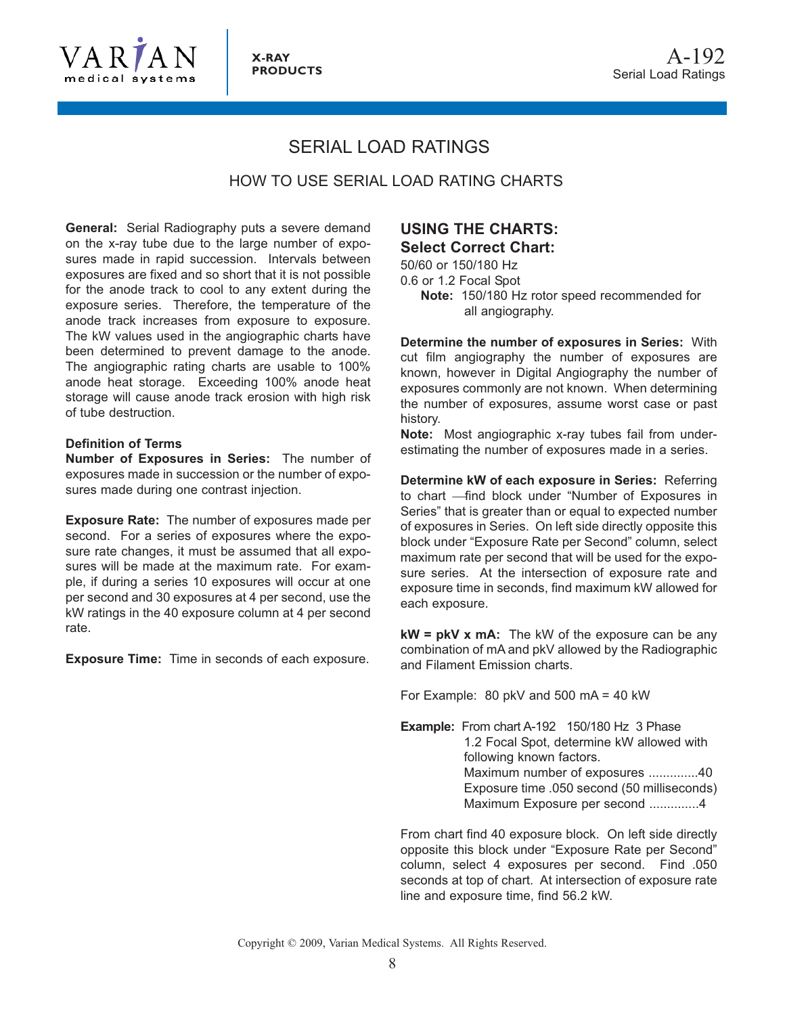

# SERIAL LOAD RATINGS

HOW TO USE SERIAL LOAD RATING CHARTS

**General:** Serial Radiography puts a severe demand on the x-ray tube due to the large number of exposures made in rapid succession. Intervals between exposures are fixed and so short that it is not possible for the anode track to cool to any extent during the exposure series. Therefore, the temperature of the anode track increases from exposure to exposure. The kW values used in the angiographic charts have been determined to prevent damage to the anode. The angiographic rating charts are usable to 100% anode heat storage. Exceeding 100% anode heat storage will cause anode track erosion with high risk of tube destruction.

#### **Definition of Terms**

**Number of Exposures in Series:** The number of exposures made in succession or the number of exposures made during one contrast injection.

**Exposure Rate:** The number of exposures made per second. For a series of exposures where the exposure rate changes, it must be assumed that all exposures will be made at the maximum rate. For example, if during a series 10 exposures will occur at one per second and 30 exposures at 4 per second, use the kW ratings in the 40 exposure column at 4 per second rate.

**Exposure Time:** Time in seconds of each exposure.

## **USING THE CHARTS: Select Correct Chart:**

50/60 or 150/180 Hz 0.6 or 1.2 Focal Spot **Note:** 150/180 Hz rotor speed recommended for all angiography.

**Determine the number of exposures in Series:** With cut film angiography the number of exposures are known, however in Digital Angiography the number of exposures commonly are not known. When determining the number of exposures, assume worst case or past history.

**Note:** Most angiographic x-ray tubes fail from underestimating the number of exposures made in a series.

**Determine kW of each exposure in Series:** Referring to chart -find block under "Number of Exposures in Series" that is greater than or equal to expected number of exposures in Series. On left side directly opposite this block under "Exposure Rate per Second" column, select maximum rate per second that will be used for the exposure series. At the intersection of exposure rate and exposure time in seconds, find maximum kW allowed for each exposure.

**kW = pkV x mA:** The kW of the exposure can be any combination of mA and pkV allowed by the Radiographic and Filament Emission charts.

For Example: 80 pkV and 500 mA = 40 kW

**Example:** From chart A-192 150/180 Hz 3 Phase 1.2 Focal Spot, determine kW allowed with following known factors. Maximum number of exposures ..............40 Exposure time .050 second (50 milliseconds) Maximum Exposure per second ..............4

From chart find 40 exposure block. On left side directly opposite this block under "Exposure Rate per Second" column, select 4 exposures per second. Find .050 seconds at top of chart. At intersection of exposure rate line and exposure time, find 56.2 kW.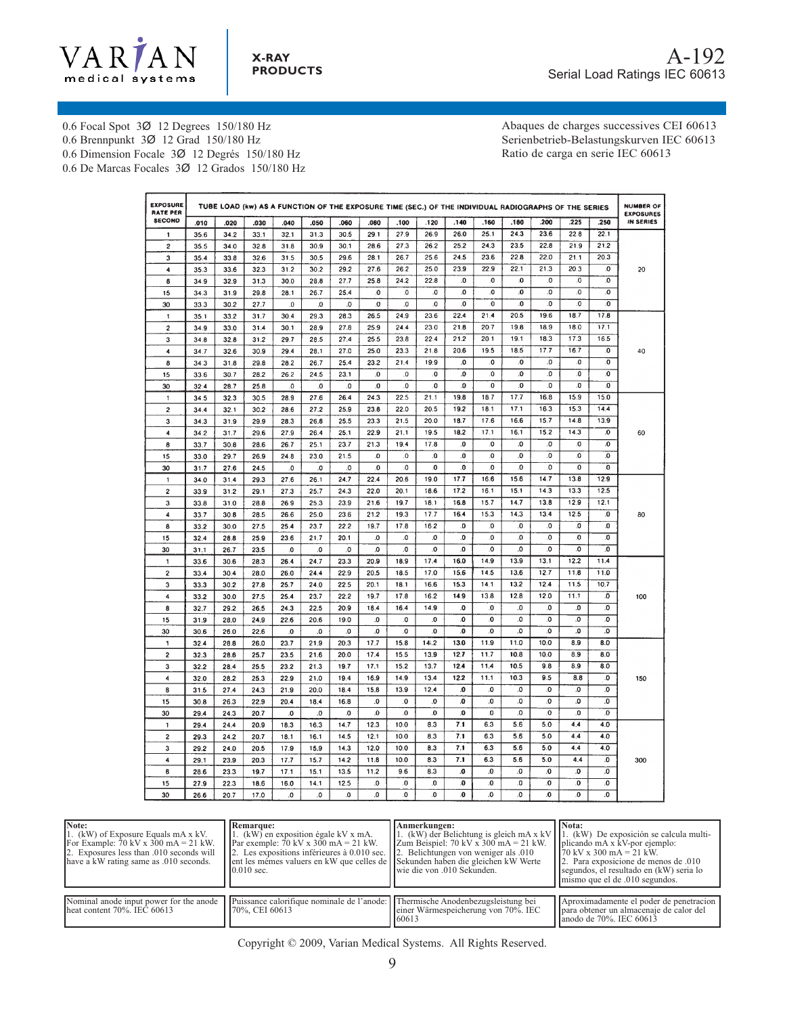

0.6 Focal Spot 3Ø 12 Degrees 150/180 Hz

0.6 Brennpunkt 3Ø 12 Grad 150/180 Hz

0.6 Dimension Focale 3Ø 12 Degrés 150/180 Hz

**X-RAY PRODUCTS**

0.6 De Marcas Focales 3Ø 12 Grados 150/180 Hz

Abaques de charges successives CEI 60613 Serienbetrieb-Belastungskurven IEC 60613 Ratio de carga en serie IEC 60613

| <b>EXPOSURE</b><br><b>RATE PER</b> | TUBE LOAD (kw) AS A FUNCTION OF THE EXPOSURE TIME (SEC.) OF THE INDIVIDUAL RADIOGRAPHS OF THE SERIES |      |      |          |          |              |              |                |              |              | <b>NUMBER OF</b><br><b>EXPOSURES</b> |              |                |                         |                         |           |
|------------------------------------|------------------------------------------------------------------------------------------------------|------|------|----------|----------|--------------|--------------|----------------|--------------|--------------|--------------------------------------|--------------|----------------|-------------------------|-------------------------|-----------|
| <b>SECOND</b>                      | .010                                                                                                 | .020 | .030 | .040     | .050     | .060         | .080         | .100           | .120         | .140         | .160                                 | .180         | 200            | .225                    | .250                    | IN SERIES |
| 1                                  | 35.6                                                                                                 | 34.2 | 33.1 | 32.1     | 31.3     | 30.5         | 291          | 27.9           | 26.9         | 26.0         | 25.1                                 | 24.3         | 23.6           | 22.8                    | 22.1                    |           |
| 2                                  | 35.5                                                                                                 | 34.0 | 32.8 | 31.8     | 30.9     | 30.1         | 28.6         | 27.3           | 26.2         | 25.2         | 24.3                                 | 23.5         | 22.8           | 21.9                    | 21.2                    |           |
| 3                                  | 35.4                                                                                                 | 33.8 | 32.6 | 31.5     | 30.5     | 29.6         | 28.1         | 26.7           | 25.6         | 24.5         | 23.6                                 | 22.8         | 22.0           | 21.1                    | 20.3                    |           |
| 4                                  | 35.3                                                                                                 | 33.6 | 32.3 | 31.2     | 30.2     | 29.2         | 27.6         | 26.2           | 25.0         | 23.9         | 22.9                                 | 22.1         | 21.3           | 20.3                    | .0                      | 20        |
| 8                                  | 34.9                                                                                                 | 32.9 | 31.3 | 30.0     | 28.8     | 27.7         | 25.8         | 24.2           | 22.8         | .0           | .O                                   | $\bf{0}$     | 0.             | .0                      | .0                      |           |
| 15                                 | 343                                                                                                  | 31.9 | 29.8 | 28.1     | 26.7     | 25.4         | .0           | .O             | .0           | .0           | 0.                                   | .0           | 0.             | $\bf{0}$                | O.                      |           |
| 30                                 | 33.3                                                                                                 | 30.2 | 27.7 | .0       | .0       | .0           | $\bf{0}$     | .0             | .0           | .0           | 0                                    | $\mathbf{0}$ | 0.             | $\overline{\mathbf{0}}$ | $\mathbf{0}$            |           |
| 1                                  | 35.1                                                                                                 | 33.2 | 31.7 | 30.4     | 29.3     | 28.3         | 26.5         | 24.9           | 23.6         | 22.4         | 21.4                                 | 20.5         | 19.6           | 18.7                    | 17.8                    |           |
| 2                                  | 34.9                                                                                                 | 33.0 | 31.4 | 30.1     | 28.9     | 27.8         | 25.9         | 24.4           | 23.0         | 21.8         | 20.7                                 | 19.8         | 18.9           | 18.0                    | 17.1                    |           |
| 3                                  | 34.8                                                                                                 | 32.8 | 31.2 | 29.7     | 28.5     | 27.4         | 25.5         | 23.8           | 22.4         | 21.2         | 20.1                                 | 19.1         | 18.3           | 17.3                    | 16.5                    |           |
| 4                                  | 34.7                                                                                                 | 32.6 | 30.9 | 29.4     | 28.1     | 27.0         | 25.0         | 23.3           | 21.8         | 20.6         | 19.5                                 | 18.5         | 17.7           | 16.7                    | .0                      | 40        |
| 8                                  | 34.3                                                                                                 | 31.8 | 29.8 | 28.2     | 26.7     | 25.4         | 23.2         | 21.4           | 19.9         | O.           | 0.                                   | $\mathbf{0}$ | $\overline{0}$ | 0                       | .0                      |           |
| 15                                 | 33.6                                                                                                 | 30.7 | 28.2 | 26.2     | 24.5     | 23.1         | .0           | $\overline{0}$ | $\mathbf{0}$ | $\mathbf{0}$ | 0.                                   | $\mathbf{0}$ | $\mathbf{0}$   | $\mathbf{0}$            | $\ddot{\mathbf{0}}$     |           |
| 30                                 | 32.4                                                                                                 | 28.7 | 25.8 | $\Omega$ | $\Omega$ | .0           | .0           | $\mathbf{0}$   | $\mathbf{0}$ | $\mathbf{0}$ | $\mathbf{0}$                         | .0           | 0.             | .0                      | .0                      |           |
| 1                                  | 34.5                                                                                                 | 32.3 | 30.5 | 28.9     | 27.6     | 26.4         | 24.3         | 22.5           | 21.1         | 19.8         | 18.7                                 | 17.7         | 16.8           | 15.9                    | 15.0                    |           |
| $\overline{\mathbf{c}}$            | 34.4                                                                                                 | 32.1 | 30.2 | 28.6     | 27.2     | 25.9         | 23.8         | 22.0           | 20.5         | 19.2         | 18.1                                 | 17.1         | 16.3           | $15.\overline{3}$       | 14.4                    |           |
| 3                                  | 34.3                                                                                                 | 31.9 | 29.9 | 28.3     | 26.8     | 25.5         | 23.3         | 21.5           | 20.0         | 18.7         | 17.6                                 | 16.6         | 15.7           | 14.8                    | 13.9                    |           |
| 4                                  | 34.2                                                                                                 | 31.7 | 29.6 | 27.9     | 26.4     | 25.1         | 22.9         | 21.1           | 19.5         | 18.2         | 17.1                                 | 16.1         | 15.2           | 14.3                    | .0                      | 60        |
| 8                                  | 33.7                                                                                                 | 30.8 | 28.6 | 26.7     | 25.1     | 23.7         | 21.3         | 19.4           | 17.8         | .0           | .0                                   | .0           | .0             | .0                      | .0                      |           |
| 15                                 | 33.0                                                                                                 | 29.7 | 26.9 | 24.8     | 23.0     | 21.5         | O.           | 0.             | .0           | .0           | 0.                                   | 0.           | 0.             | $\overline{\mathbf{0}}$ | $\overline{0}$          |           |
| 30                                 | 31.7                                                                                                 | 27.6 | 24.5 | 0.       | O.       | $\mathbf{0}$ | $\mathbf{0}$ | $\mathbf{0}$   | 0            | $\mathbf{0}$ | .0                                   | 0.           | o.             | 0                       | o                       |           |
| $\mathbf{1}$                       | 34.0                                                                                                 | 31.4 | 29.3 | 27.6     | 26.1     | 24.7         | 22.4         | 20.6           | 19.0         | 17.7         | 16.6                                 | 15.6         | 14.7           | 13.8                    | 12.9                    |           |
| $\overline{c}$                     | 33.9                                                                                                 | 31.2 | 29.1 | 27.3     | 25.7     | 24.3         | 22.0         | 20.1           | 18.6         | 17.2         | 16.1                                 | 15.1         | 14.3           | 13.3                    | 12.5                    |           |
| 3                                  | 33.8                                                                                                 | 31.0 | 28.8 | 26.9     | 25.3     | 23.9         | 21.6         | 19.7           | 18.1         | 16.8         | 15.7                                 | 14.7         | 13.8           | 12.9                    | 12.1                    |           |
| 4                                  | 33.7                                                                                                 | 30.8 | 28.5 | 26.6     | 25.0     | 23.6         | 21.2         | 19.3           | 17.7         | 16.4         | 15.3                                 | 14.3         | 13.4           | 12.5                    | 0.                      | 80        |
| 8                                  | 33.2                                                                                                 | 30.0 | 27.5 | 25.4     | 23.7     | 22.2         | 19.7         | 17.8           | 16.2         | O.           | .0                                   | .0           | $\Omega$       | 0.                      | 0.                      |           |
| 15                                 | 32.4                                                                                                 | 28.8 | 25.9 | 23.6     | 21.7     | 20.1         | $\bf{.0}$    | $\mathbf{0}$   | .0           | $\mathbf{0}$ | .0                                   | $\bf{0}$     | .0             | .0                      | 0.                      |           |
| 30                                 | 31.1                                                                                                 | 26.7 | 23.5 | 0        | .0       | .O           | .0           | O.             | $\mathbf{0}$ | O.           | $\mathbf{0}$                         | $\mathbf{0}$ | $\mathbf{0}$   | 0.                      | $\overline{\mathbf{0}}$ |           |
| 1                                  | 33.6                                                                                                 | 30.6 | 28.3 | 26.4     | 24.7     | 23.3         | 20.9         | 18.9           | 17.4         | 16.0         | 14.9                                 | 13.9         | 13.1           | 12.2                    | 11.4                    |           |
| $\overline{\mathbf{c}}$            | 33.4                                                                                                 | 30.4 | 28.0 | 26.0     | 24.4     | 22.9         | 20.5         | 18.5           | 17.0         | 15.6         | 14.5                                 | 13.6         | 12.7           | 11.8                    | 11.0                    |           |
| 3                                  | 33.3                                                                                                 | 30.2 | 27.8 | 25.7     | 24.0     | 22.5         | 20.1         | 18.1           | 16.6         | 15.3         | 14.1                                 | 13.2         | 12.4           | 11.5                    | 10.7                    |           |
| 4                                  | 33.2                                                                                                 | 30.0 | 27.5 | 25.4     | 23.7     | 22.2         | 19.7         | 17.8           | 16.2         | 14.9         | 13.8                                 | 12.8         | 12.0           | 11.1                    | .0                      | 100       |
| 8                                  | 32.7                                                                                                 | 29.2 | 26.5 | 24.3     | 22.5     | 20.9         | 18.4         | 16.4           | 14.9         | .O           | .0                                   | 0.           | .0             | .0                      | 0.                      |           |
| 15                                 | 31.9                                                                                                 | 28.0 | 24.9 | 22.6     | 20.6     | 19.0         | 0.           | 0.             | .0           | .0           | $\mathbf{0}$                         | $\mathbf{0}$ | .0             | .0                      | 0.                      |           |
| 30                                 | 30.6                                                                                                 | 26.0 | 22.6 | 0.       | .0       | .0           | .0           | .0             | .0           | O.           | .0                                   | 0.           | .0             | .0                      | .0                      |           |
| 1                                  | 32.4                                                                                                 | 28.8 | 26.0 | 23.7     | 21.9     | 20.3         | 17.7         | 15.8           | 14.2         | 13.0         | 11.9                                 | 11.0         | 10.0           | 8.9                     | 8.0                     |           |
| $\overline{\mathbf{c}}$            | 32.3                                                                                                 | 28.6 | 25.7 | 23.5     | 21.6     | 20.0         | 17.4         | 15.5           | 13.9         | 12.7         | 11.7                                 | 10.8         | 10.0           | 8.9                     | 8.0                     |           |
| 3                                  | 32.2                                                                                                 | 28.4 | 25.5 | 23.2     | 21.3     | 197          | 17.1         | 15.2           | 13.7         | 12.4         | 11.4                                 | 10.5         | 9.8            | 8.9                     | 8.0                     |           |
| 4                                  | 32.0                                                                                                 | 28.2 | 25.3 | 22.9     | 21.0     | 19.4         | 16.9         | 14.9           | 13.4         | 12.2         | 11.1                                 | 10.3         | 9.5            | 8.8                     | .0                      | 150       |
| 8                                  | 31.5                                                                                                 | 27.4 | 24.3 | 21.9     | 20.0     | 18.4         | 15.8         | 13.9           | 12.4         | .0           | .0                                   | .0           | .0             | .0                      | .0                      |           |
| 15                                 | 30.8                                                                                                 | 26.3 | 22.9 | 20.4     | 18.4     | 16.8         | $\mathbf{0}$ | $\mathbf{0}$   | .0           | O.           | .0                                   | .0           | .0             | .0                      | .0                      |           |
| 30                                 | 29.4                                                                                                 | 24.3 | 20.7 | 0.       | .0       | 0.           | $\mathbf{0}$ | $\mathbf{0}$   | $\mathbf{0}$ | $\mathbf{0}$ | 0                                    | .0           | $\mathbf{0}$   | 0.                      | $\mathbf{0}$            |           |
| 1                                  | 29.4                                                                                                 | 24.4 | 20.9 | 18.3     | 16.3     | 14.7         | 12.3         | 10.0           | 8.3          | 7.1          | 6.3                                  | 5.6          | 5.0            | 4.4                     | 4.0                     |           |
| 2                                  | 29.3                                                                                                 | 24.2 | 20.7 | 18.1     | 16.1     | 14.5         | 12.1         | 10.0           | 8.3          | 7.1          | 6.3                                  | 5.6          | 5.0            | 4.4                     | 4.0                     |           |
| 3                                  | 29.2                                                                                                 | 24.0 | 20.5 | 17.9     | 15.9     | 14.3         | 12.0         | 10.0           | 8.3          | 7.1          | 6.3                                  | 5.6          | 5.0            | 4.4                     | 4.0                     |           |
| 4                                  | 29.1                                                                                                 | 23.9 | 20.3 | 17.7     | 15.7     | 14.2         | 11.8         | 10.0           | 8.3          | 7.1          | 6.3                                  | 5.6          | 5.0            | 4.4                     | .0                      | 300       |
| 8                                  | 28.6                                                                                                 | 23.3 | 19.7 | 17.1     | 15.1     | 13.5         | 11.2         | 9.6            | 8.3          | .0           | .0                                   | .0           | 0.             | .0                      | .0                      |           |
| 15                                 | 27.9                                                                                                 | 22.3 | 18.6 | 16.0     | 14.1     | 12.5         | $\bf{0}$     | $\bf{0}$       | .0           | .O           | .0                                   | 0.           | .0             | .0                      | .0                      |           |
| 30                                 | 26.6                                                                                                 | 20.7 | 17.0 | 0.       | .0       | .0           | $\mathbf{0}$ | $\mathbf{0}$   | $\mathbf{0}$ | $\mathbf{0}$ | 0.                                   | $\mathbf{0}$ | 0.             | $\overline{\mathbf{0}}$ | $\overline{0}$          |           |

| Note:<br>1. (kW) of Exposure Equals mA x kV.<br>For Example: $70 \text{ kV} \times 300 \text{ mA} = 21 \text{ kW}$ .<br>2. Exposures less than .010 seconds will<br>have a kW rating same as .010 seconds. | Remarque:<br>1. (kW) en exposition égale kV $x$ mA.<br>Par exemple: $70 \text{ kV} \times 300 \text{ mA} = 21 \text{ kW}$ .<br>2. Les expositions inférieures à 0.010 sec.<br>ent les mémes valuers en kW que celles de Sekunden haben die gleichen kW Werte<br>$0.010$ sec. | Anmerkungen:<br>1. (kW) der Belichtung is gleich mA x kV<br>Zum Beispiel: $70 \text{ kV x } 300 \text{ mA} = 21 \text{ kW}$ .<br>2. Belichtungen von weniger als 0.00<br>Iwie die von .010 Sekunden. | Nota:<br>1. (kW) De exposición se calcula multi-<br>plicando mA x kV-por ejemplo:<br>$170 \text{ kV} \times 300 \text{ mA} = 21 \text{ kW}$ .<br>10. Para exposicione de menos de 0.010<br>segundos, el resultado en (kW) seria lo<br>mismo que el de .010 segundos. |
|------------------------------------------------------------------------------------------------------------------------------------------------------------------------------------------------------------|------------------------------------------------------------------------------------------------------------------------------------------------------------------------------------------------------------------------------------------------------------------------------|------------------------------------------------------------------------------------------------------------------------------------------------------------------------------------------------------|----------------------------------------------------------------------------------------------------------------------------------------------------------------------------------------------------------------------------------------------------------------------|
| Nominal anode input power for the anode<br>heat content $70\%$ . IEC $60613$                                                                                                                               | Puissance calorifique nominale de l'anode: Thermische Anodenbezugsleistung bei<br>70%, CEI 60613                                                                                                                                                                             | einer Wärmespeicherung von 70%. IEC<br>60613                                                                                                                                                         | Aproximadamente el poder de penetracion<br>para obtener un almacenaje de calor del<br>anodo de 70%. IEC 60613                                                                                                                                                        |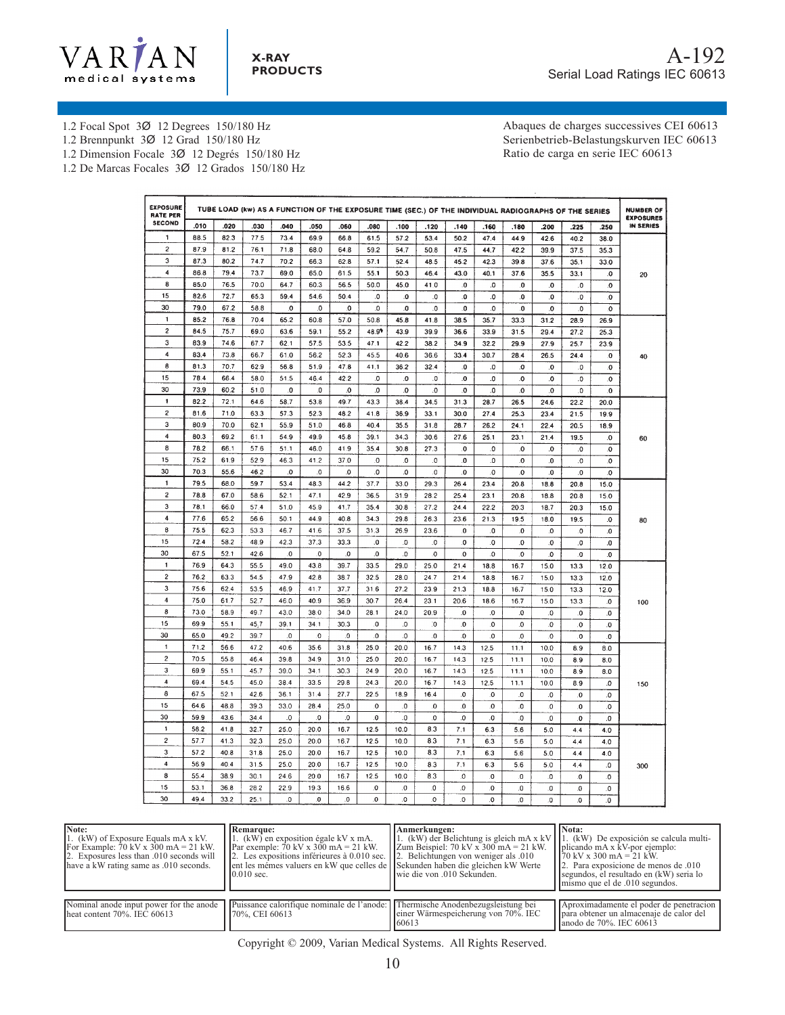

1.2 Focal Spot 3Ø 12 Degrees 150/180 Hz

1.2 Brennpunkt 3Ø 12 Grad 150/180 Hz

1.2 Dimension Focale 3Ø 12 Degrés 150/180 Hz

1.2 De Marcas Focales 3Ø 12 Grados 150/180 Hz

Abaques de charges successives CEI 60613 Serienbetrieb-Belastungskurven IEC 60613 Ratio de carga en serie IEC 60613

| <b>EXPOSURE</b><br><b>RATE PER</b> |      |      |      |          |                |              |                |                         |          |                         |           |              | TUBE LOAD (kw) AS A FUNCTION OF THE EXPOSURE TIME (SEC.) OF THE INDIVIDUAL RADIOGRAPHS OF THE SERIES |                         |                         | <b>NUMBER OF</b><br><b>EXPOSURES</b> |
|------------------------------------|------|------|------|----------|----------------|--------------|----------------|-------------------------|----------|-------------------------|-----------|--------------|------------------------------------------------------------------------------------------------------|-------------------------|-------------------------|--------------------------------------|
| <b>SECOND</b>                      | .010 | .020 | .030 | .040     | .050           | .060         | .080           | .100                    | .120     | .140                    | .160      | .180         | .200                                                                                                 | .225                    | .250                    | <b>IN SERIES</b>                     |
| 1                                  | 88.5 | 82.3 | 77.5 | 73.4     | 69.9           | 66.8         | 61.5           | 57.2                    | 53.4     | 50.2                    | 47.4      | 44.9         | 42.6                                                                                                 | 40.2                    | 38.0                    |                                      |
| $\overline{\mathbf{c}}$            | 87.9 | 812  | 76.1 | 71.8     | 68.0           | 64.8         | 59.2           | 54.7                    | 50.8     | 47.5                    | 44.7      | 42.2         | 39.9                                                                                                 | 37.5                    | 35.3                    |                                      |
| 3                                  | 87.3 | 80.2 | 74.7 | 70.2     | 66.3           | 62.8         | 57.1           | 52.4                    | 48.5     | 45.2                    | 42.3      | 39.8         | 37.6                                                                                                 | 35.1                    | 33.0                    |                                      |
| $\overline{\mathbf{4}}$            | 86.8 | 79.4 | 73.7 | 69.0     | 65.0           | 61.5         | 55.1           | 50.3                    | 46.4     | 43.0                    | 40.1      | 37.6         | 35.5                                                                                                 | 33.1                    | .0                      | 20                                   |
| 8                                  | 85.0 | 76.5 | 70.0 | 647      | 60.3           | 56.5         | 50.0           | 45.0                    | 41.0     | $\mathbf{0}$            | O.        | 0.           | .0                                                                                                   | .0                      | $\mathbf{0}$            |                                      |
| 15                                 | 82.6 | 72.7 | 65.3 | 59.4     | 54.6           | 50.4         | .0             | $\bf{0}$                | .0       | 0.                      | .0        | 0.           | .0                                                                                                   | $\overline{\mathbf{0}}$ | $\overline{\mathbf{0}}$ |                                      |
| 30                                 | 79.0 | 67.2 | 58.8 | 0.       | .0             | .0           | .0             | .0                      | .0       | .0                      | $\Omega$  | 0.           | .0                                                                                                   | $\overline{\mathbf{0}}$ | O.                      |                                      |
| 1                                  | 85.2 | 76.8 | 70.4 | 65.2     | 60.8           | 57.0         | 50.8           | 45.8                    | 41.8     | 38.5                    | 35.7      | 33.3         | 31.2                                                                                                 | 28.9                    | 26.9                    |                                      |
| $\overline{\mathbf{c}}$            | 84.5 | 75.7 | 69.0 | 63.6     | 59.1           | 55.2         | 48.99          | 43.9                    | 39.9     | 36.6                    | 33.9      | 31.5         | 29.4                                                                                                 | 27.2                    | 25.3                    |                                      |
| 3                                  | 83.9 | 74.6 | 67.7 | 62.1     | 57.5           | 53.5         | 471            | 42.2                    | 38.2     | 34.9                    | 32.2      | 29.9         | 27.9                                                                                                 | 25.7                    | 23.9                    |                                      |
| 4                                  | 83.4 | 73.8 | 66.7 | 61.0     | 56.2           | 52.3         | 45.5           | 40.6                    | 36.6     | 33.4                    | 30.7      | 28.4         | 26.5                                                                                                 | 24.4                    | .0                      | 40                                   |
| 8                                  | 81.3 | 70.7 | 62.9 | 56.8     | 51.9           | 47.8         | 41.1           | 36.2                    | 32.4     | .0                      | .0        | .0           | .0                                                                                                   | .0                      | .o                      |                                      |
| 15                                 | 78.4 | 66.4 | 58.0 | 51.5     | 46.4           | 42.2         | .0             | .0                      | .o       | .0                      | .0        | .o           | .0                                                                                                   | .0                      | $\mathbf{0}$            |                                      |
| 30                                 | 73.9 | 60.2 | 51.0 | o        | 0              | $\mathbf{0}$ | $\mathbf{0}$   | 0.                      | .o       | .0                      | 0.        | O.           | $\mathbf{0}$                                                                                         | 0.                      | $\overline{\mathbf{0}}$ |                                      |
| 1                                  | 82.2 | 72.1 | 64.6 | 58.7     | 53.8           | 49.7         | 43.3           | 38.4                    | 34.5     | 31.3                    | 28.7      | 26.5         | 24.6                                                                                                 | 22.2                    | 20.0                    |                                      |
| $\overline{2}$                     | 81.6 | 71.0 | 63.3 | 57.3     | 52.3           | 48.2         | 41.8           | 36.9                    | 33.1     | 30.0                    | 27.4      | 25.3         | 23.4                                                                                                 | 21.5                    | 19.9                    |                                      |
| 3                                  | 80.9 | 70.0 | 62.1 | 55.9     | 51.0           | 46.8         | 40.4           | 35.5                    | 31.8     | 28.7                    | 26.2      | 24.1         | 22.4                                                                                                 | 20.5                    | 18.9                    |                                      |
| 4                                  | 80.3 | 69.2 | 61.1 | 54.9     | 49.9           | 45.8         | 39.1           | 34.3                    | 30.6     | 27.6                    | 25.1      | 23.1         | 21.4                                                                                                 | 19.5                    | $\Omega$                | 60                                   |
| 8                                  | 78.2 | 66.1 | 57.6 | 51.1     | 46.0           | 41.9         | 35.4           | 30.8                    | 27.3     | $\mathbf{0}$            | .0        | O.           | .0                                                                                                   | .0                      | .0                      |                                      |
| 15                                 | 75.2 | 61.9 | 52.9 | 46.3     | 41.2           | 37.0         | 0              | 0.                      | 0.       | $\Omega$                | 0.        | .0           | $\cdot$ 0                                                                                            | .0                      | .0                      |                                      |
| 30                                 | 70.3 | 55.6 | 46.2 | o        | O.             | 0.           | 0.             | 0.                      | 0        | $\overline{\mathbf{0}}$ | 0.        | $\mathbf{0}$ | $\mathbf{0}$                                                                                         | $\overline{\mathbf{0}}$ | 0                       |                                      |
| $\mathbf{1}$                       | 79.5 | 68.0 | 59.7 | 53.4     | 48.3           | 44.2         | 37.7           | 33.0                    | 29.3     | 26.4                    | 23.4      | 20.8         | 18.8                                                                                                 | 20.8                    | 15.0                    |                                      |
| 2                                  | 78.8 | 67.0 | 58.6 | 52.1     | 47.1           | 42.9         | 36.5           | 31.9                    | 28.2     | 25.4                    | 23.1      | 20.8         | 18.8                                                                                                 | 20.8                    | 15.0                    |                                      |
| 3                                  | 78.1 | 66.0 | 57.4 | 51.0     | 45.9           | 41.7         | 35.4           | 30.8                    | 27.2     | 24.4                    | 22.2      | 20.3         | 18.7                                                                                                 | 20.3                    | 15.0                    |                                      |
| $\ddot{4}$                         | 77.6 | 65.2 | 56.6 | 50.1     | 44.9           | 40.8         | 34.3           | 29.8                    | 26.3     | 23.6                    | 21.3      | 19.5         | 18.0                                                                                                 | 19.5                    | .0                      | 80                                   |
| 8                                  | 75.5 | 62.3 | 53.3 | 46.7     | 41.6           | 37.5         | 31.3           | 26.9                    | 23.6     | $\mathbf{0}$            | O.        | $\mathbf{0}$ | 0.                                                                                                   | $\overline{\mathbf{0}}$ | $\mathbf{0}$            |                                      |
| 15                                 | 72.4 | 58.2 | 48.9 | 42.3     | 37.3           | 33.3         | .0             | .0                      | .0       | .0                      | 0         | .0           | $\mathbf{0}$                                                                                         | 0.                      | $\mathbf{0}$            |                                      |
| 30                                 | 67.5 | 52.1 | 42.6 | $\Omega$ | $\overline{0}$ | .0           | $\overline{0}$ | O.                      | 0        | $\Omega$                | O         | .O           | ٥.                                                                                                   | 0.                      | $\mathbf{0}$            |                                      |
| $\mathbf{1}$                       | 76.9 | 64.3 | 55.5 | 49.0     | 43.8           | 39.7         | 33.5           | 29.0                    | 25.0     | 21.4                    | 18.8      | 16.7         | 15.0                                                                                                 | 13.3                    | 12.0                    |                                      |
| 2                                  | 76.2 | 63.3 | 54.5 | 47.9     | 42.8           | 38.7         | 32.5           | 28.0                    | 24.7     | 21.4                    | 18.8      | 16.7         | 15.0                                                                                                 | 13.3                    | 12.0                    |                                      |
| 3                                  | 75.6 | 62.4 | 53.5 | 46.9     | 41.7           | 37.7         | 31.6           | 27.2                    | 23.9     | 21.3                    | 18.8      | 16.7         | 15.0                                                                                                 | 13.3                    | 12.0                    |                                      |
| $\overline{4}$                     | 75.0 | 61.7 | 52.7 | 46.0     | 40.9           | 36.9         | 30.7           | 26.4                    | 23.1     | 20.6                    | 18.6      | 16.7         | 15.0                                                                                                 | 13.3                    | $\mathbf{0}$            | 100                                  |
| 8                                  | 73.0 | 58.9 | 49.7 | 43.0     | 38.0           | 34.0         | 28.1           | 24.0                    | 20.9     | $\bf{0}$                | $\bf{0}$  | $\Omega$     | .0                                                                                                   | .0                      | 0.                      |                                      |
| 15                                 | 69.9 | 55.1 | 45.7 | 39.1     | 34.1           | 30.3         | O.             | $\overline{\mathbf{0}}$ | C.       | $\overline{0}$          | O         | $\pmb{0}$    | $\bf{0}$                                                                                             | .0                      | 0.                      |                                      |
| 30                                 | 65.0 | 49.2 | 39.7 | 0.       | 0.             | $\Omega$     | .0             | $\mathbf{0}$            | .0       | .0                      | .0        | $\bf{0}$     | 0                                                                                                    | 0.                      | 0                       |                                      |
| 1                                  | 71.2 | 56.6 | 47.2 | 40.6     | 35.6           | 31.8         | 25.0           | 20.0                    | 16.7     | 14.3                    | 12.5      | 11.1         | 10.0                                                                                                 | 8.9                     | 8.0                     |                                      |
| $\overline{\mathbf{c}}$            | 70.5 | 55.8 | 46.4 | 39.8     | 34.9           | 31.0         | 25.0           | 20.0                    | 16.7     | 14.3                    | 12.5      | 11.1         | 10.0                                                                                                 | 8.9                     | 8.0                     |                                      |
| 3                                  | 69.9 | 55.1 | 45.7 | 39.0     | 34.1           | 30.3         | 24.9           | 20.0                    | 16.7     | 14.3                    | 12.5      | 11.1         | 10.0                                                                                                 | 8.9                     | 8.0                     |                                      |
| $\overline{\bf 4}$                 | 69.4 | 54.5 | 45.0 | 38.4     | 33.5           | 29.8         | 24.3           | 20.0                    | 16.7     | 14.3                    | 12.5      | 11.1         | 10.0                                                                                                 | 8.9                     | .0                      | 150                                  |
| 8                                  | 67.5 | 52.1 | 42.6 | 36.1     | 31.4           | 27.7         | 22.5           | 18.9                    | 16.4     | $\overline{0}$          | .o        | 0.           | $\mathbf{0}$                                                                                         | $\mathbf{0}$            | $\mathbf{0}$            |                                      |
| 15                                 | 64.6 | 48.8 | 39.3 | 33.0     | 28.4           | 25.0         | $\mathbf{0}$   | $\cdot$                 | $\bf{0}$ | .0                      | $\Omega$  | 0.           | $\bf{0}$                                                                                             | .0                      | .O                      |                                      |
| 30                                 | 59.9 | 43.6 | 34.4 | .0       | 0.             | .0           | .0             | .0                      | 0.       | $\Omega$                | $\cdot$ 0 | 0.           | .0                                                                                                   | .0                      | $\bf{0}$                |                                      |
| 1                                  | 58.2 | 41.8 | 32.7 | 25.0     | 20.0           | 16.7         | 12.5           | 10.0                    | 8.3      | 7.1                     | 6.3       | 5.6          | 5.0                                                                                                  | 4.4                     | 4.0                     |                                      |
| $\boldsymbol{2}$                   | 57.7 | 41.3 | 32.3 | 25.0     | 20.0           | 16.7         | 12.5           | 10.0                    | 8.3      | 7.1                     | 6.3       | 5.6          | 5.0                                                                                                  | 4,4                     | 4.0                     |                                      |
| 3                                  | 57.2 | 40.8 | 31.8 | 25.0     | 20.0           | 16.7         | 12.5           | 10.0                    | 8.3      | 7.1                     | 6.3       | 5.6          | 5.0                                                                                                  | 4.4                     | 4.0                     |                                      |
| 4                                  | 56.9 | 40.4 | 31.5 | 25.0     | 20.0           | 16.7         | 12.5           | 10.0                    | 8.3      | 7.1                     | 6.3       | 5.6          | 5.0                                                                                                  | 4.4                     | .0                      |                                      |
| 8                                  | 55.4 | 38.9 | 30.1 | 24.6     | 20.0           | 16.7         | 12.5           | 10.0                    | 8.3      | $\mathbf{0}$            | .0        | $\mathbf{0}$ | .0                                                                                                   | $\mathbf{0}$            |                         | 300                                  |
| 15                                 | 53.1 | 36.8 | 28.2 | 22.9     | 19.3           | 16.6         | $\mathbf{0}$   | $\mathbf{0}$            | .0       | 0.                      | $\Omega$  | $\cdot$ 0    |                                                                                                      |                         | .0                      |                                      |
| 30                                 | 49.4 |      |      |          |                |              | $\mathbf{0}$   |                         |          |                         |           |              | .0                                                                                                   | .0                      | .0                      |                                      |
|                                    |      | 33.2 | 25.1 | 0.       | 0              | .0           |                | 0.                      | 0        | O.                      | $\Omega$  | 0            | O.                                                                                                   | $\mathbf{0}$            | 0                       |                                      |

| Note:<br>1. (kW) of Exposure Equals mA x kV.<br>For Example: 70 kV x $300 \text{ mA} = 21 \text{ kW}$ .<br>2. Exposures less than .010 seconds will<br>have a kW rating same as .010 seconds. | Remarque:<br>1. (kW) en exposition égale kV x mA.<br>Par exemple: $70 \text{ kV}$ x $300 \text{ mA} = 21 \text{ kW}$ .<br>2. Les expositions inférieures à 0.010 sec.<br>ent les mémes valuers en kW que celles de Sekunden haben die gleichen kW Werte<br>$0.010$ sec. | Anmerkungen:<br>1. (kW) der Belichtung is gleich mA x kV<br>Zum Beispiel: $70 \text{ kV} \times 300 \text{ mA} = 21 \text{ kW}$ .<br>2. Belichtungen von weniger als 0.010<br>lwie die von .010 Sekunden. | Nota:<br>1. (kW) De exposición se calcula multi-<br>plicando mA x kV-por ejemplo:<br>$170 \text{ kV} \times 300 \text{ mA} = 21 \text{ kW}$ .<br>2. Para exposicione de menos de .010<br>segundos, el resultado en (kW) seria lo<br>mismo que el de .010 segundos. |
|-----------------------------------------------------------------------------------------------------------------------------------------------------------------------------------------------|-------------------------------------------------------------------------------------------------------------------------------------------------------------------------------------------------------------------------------------------------------------------------|-----------------------------------------------------------------------------------------------------------------------------------------------------------------------------------------------------------|--------------------------------------------------------------------------------------------------------------------------------------------------------------------------------------------------------------------------------------------------------------------|
| Nominal anode input power for the anode<br>heat content $70\%$ . IEC 60613                                                                                                                    | Puissance calorifique nominale de l'anode: l'Thermische Anodenbezugsleistung bei<br>70%, CEI 60613                                                                                                                                                                      | einer Wärmespeicherung von 70%. IEC<br>160613                                                                                                                                                             | Aproximadamente el poder de penetracion<br>loara obtener un almacenaie de calor del<br>lanodo de 70%. IEC 60613                                                                                                                                                    |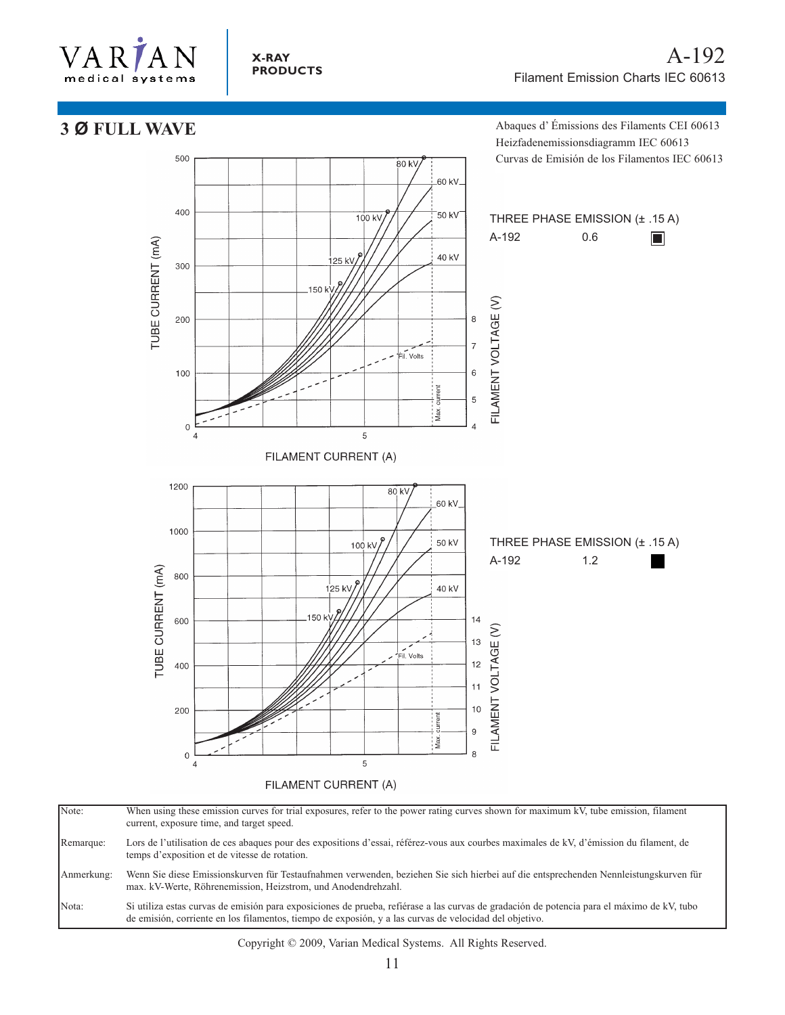

### **X-RAY PRODUCTS**

# **3 Ø FULL WAVE**

500

Abaques d' Émissions des Filaments CEI 60613 Heizfadenemissionsdiagramm IEC 60613 Curvas de Emisión de los Filamentos IEC 60613



.<br>80 kV

Note: When using these emission curves for trial exposures, refer to the power rating curves shown for maximum kV, tube emission, filament current, exposure time, and target speed. Remarque: Lors de l'utilisation de ces abaques pour des expositions d'essai, référez-vous aux courbes maximales de kV, d'émission du filament, de temps d'exposition et de vitesse de rotation. Anmerkung: Wenn Sie diese Emissionskurven für Testaufnahmen verwenden, beziehen Sie sich hierbei auf die entsprechenden Nennleistungskurven für max. kV-Werte, Röhrenemission, Heizstrom, und Anodendrehzahl. Nota: Si utiliza estas curvas de emisión para exposiciones de prueba, refiérase a las curvas de gradación de potencia para el máximo de kV, tubo de emisión, corriente en los filamentos, tiempo de exposión, y a las curvas de velocidad del objetivo.